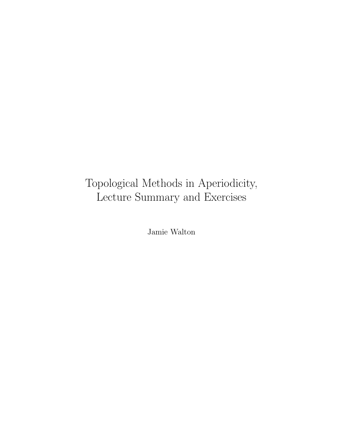# Topological Methods in Aperiodicity, Lecture Summary and Exercises

Jamie Walton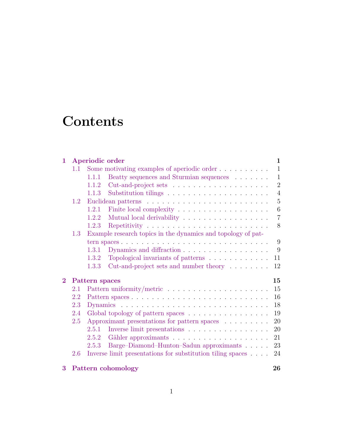# **Contents**

| $\mathbf{1}$ |     | Aperiodic order                                                                     | 1              |
|--------------|-----|-------------------------------------------------------------------------------------|----------------|
|              | 1.1 | Some motivating examples of aperiodic order $\dots \dots \dots$                     | $\mathbf{1}$   |
|              |     | Beatty sequences and Sturmian sequences $\hfill\ldots$ $\ldots$ .<br>1.1.1          | $\mathbf{1}$   |
|              |     | 1.1.2                                                                               | $\overline{2}$ |
|              |     | 1.1.3                                                                               | $\overline{4}$ |
|              | 1.2 |                                                                                     | $5\,$          |
|              |     | Finite local complexity $\ldots \ldots \ldots \ldots \ldots \ldots \ldots$<br>1.2.1 | 6              |
|              |     | 1.2.2                                                                               | $\overline{7}$ |
|              |     | 1.2.3                                                                               | 8              |
|              | 1.3 | Example research topics in the dynamics and topology of pat-                        |                |
|              |     |                                                                                     | 9              |
|              |     | Dynamics and diffraction<br>1.3.1                                                   | 9              |
|              |     | Topological invariants of patterns<br>1.3.2                                         | 11             |
|              |     | Cut-and-project sets and number theory<br>1.3.3                                     | 12             |
| $\bf{2}$     |     | Pattern spaces                                                                      | 15             |
|              | 2.1 |                                                                                     | 15             |
|              | 2.2 |                                                                                     | 16             |
|              | 2.3 |                                                                                     | 18             |
|              | 2.4 | Global topology of pattern spaces                                                   | 19             |
|              | 2.5 | Approximant presentations for pattern spaces $\ldots \ldots \ldots$                 | 20             |
|              |     | Inverse limit presentations $\ldots \ldots \ldots \ldots \ldots$<br>2.5.1           | 20             |
|              |     | 2.5.2                                                                               | 21             |
|              |     | Barge–Diamond–Hunton–Sadun approximants<br>2.5.3                                    | 23             |
|              | 2.6 | Inverse limit presentations for substitution tiling spaces $\ldots$ .               | 24             |
| 3            |     | Pattern cohomology                                                                  | 26             |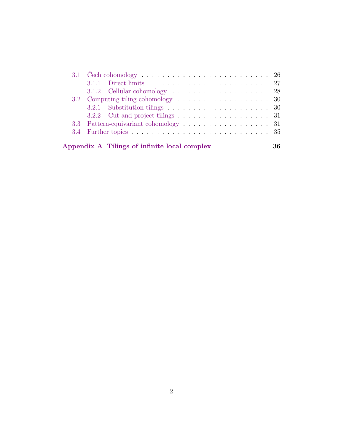| $3.2.2$ Cut-and-project tilings 31           |    |
|----------------------------------------------|----|
| 3.3 Pattern-equivariant cohomology 31        |    |
|                                              |    |
|                                              |    |
| Appendix A Tilings of infinite local complex | 36 |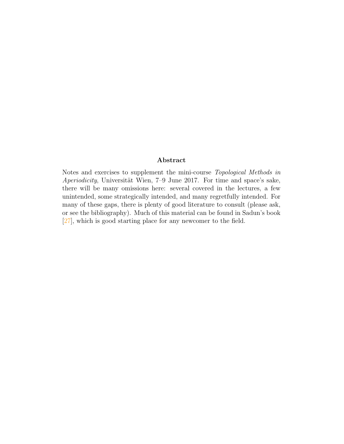#### Abstract

Notes and exercises to supplement the mini-course Topological Methods in Aperiodicity, Universität Wien,  $7-9$  June 2017. For time and space's sake, there will be many omissions here: several covered in the lectures, a few unintended, some strategically intended, and many regretfully intended. For many of these gaps, there is plenty of good literature to consult (please ask, or see the bibliography). Much of this material can be found in Sadun's book [\[27\]](#page-43-0), which is good starting place for any newcomer to the field.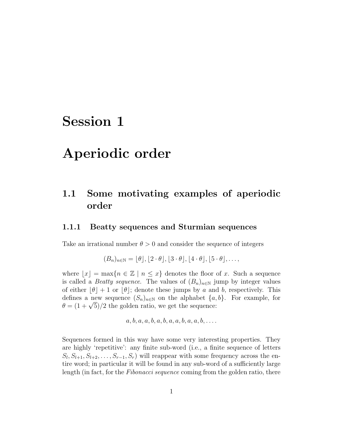## <span id="page-4-0"></span>Session 1

## Aperiodic order

## <span id="page-4-1"></span>1.1 Some motivating examples of aperiodic order

#### <span id="page-4-2"></span>1.1.1 Beatty sequences and Sturmian sequences

Take an irrational number  $\theta > 0$  and consider the sequence of integers

$$
(B_n)_{n\in\mathbb{N}} = [\theta], [2 \cdot \theta], [3 \cdot \theta], [4 \cdot \theta], [5 \cdot \theta], \dots,
$$

where  $\lfloor x \rfloor = \max\{n \in \mathbb{Z} \mid n \leq x\}$  denotes the floor of x. Such a sequence is called a *Beatty sequence*. The values of  $(B_n)_{n\in\mathbb{N}}$  jump by integer values of either  $|\theta| + 1$  or  $|\theta|$ ; denote these jumps by a and b, respectively. This defines a new sequence  $(S_n)_{n\in\mathbb{N}}$  on the alphabet  $\{a, b\}$ . For example, for dennes a new sequence  $(S_n)_{n \in \mathbb{N}}$  on the alphabet  $\{a, \theta = (1 + \sqrt{5})/2 \}$  the golden ratio, we get the sequence:

$$
a, b, a, a, b, a, b, a, a, b, a, a, b, \ldots
$$

Sequences formed in this way have some very interesting properties. They are highly 'repetitive': any finite sub-word (i.e., a finite sequence of letters  $S_l, S_{l+1}, S_{l+2}, \ldots, S_{r-1}, S_r$  will reappear with some frequency across the entire word; in particular it will be found in any sub-word of a sufficiently large length (in fact, for the *Fibonacci sequence* coming from the golden ratio, there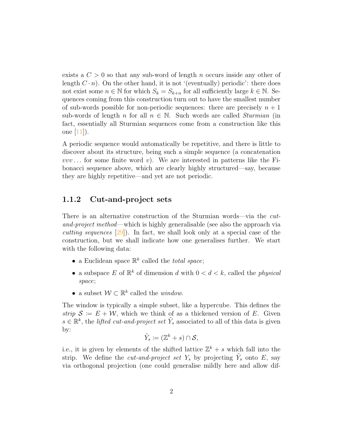exists a  $C > 0$  so that any sub-word of length n occurs inside any other of length  $C \cdot n$ ). On the other hand, it is not '(eventually) periodic': there does not exist some  $n \in \mathbb{N}$  for which  $S_k = S_{k+n}$  for all sufficiently large  $k \in \mathbb{N}$ . Sequences coming from this construction turn out to have the smallest number of sub-words possible for non-periodic sequences: there are precisely  $n + 1$ sub-words of length n for all  $n \in \mathbb{N}$ . Such words are called *Sturmian* (in fact, essentially all Sturmian sequences come from a construction like this one [\[11\]](#page-42-0)).

A periodic sequence would automatically be repetitive, and there is little to discover about its structure, being such a simple sequence (a concatenation  $vvv \dots$  for some finite word v). We are interested in patterns like the Fibonacci sequence above, which are clearly highly structured—say, because they are highly repetitive—and yet are not periodic.

### <span id="page-5-0"></span>1.1.2 Cut-and-project sets

There is an alternative construction of the Sturmian words—via the cutand-project method—which is highly generalisable (see also the approach via *cutting sequences*  $[29]$ . In fact, we shall look only at a special case of the construction, but we shall indicate how one generalises further. We start with the following data:

- a Euclidean space  $\mathbb{R}^k$  called the *total space*;
- a subspace E of  $\mathbb{R}^k$  of dimension d with  $0 < d < k$ , called the *physical* space;
- a subset  $W \subset \mathbb{R}^k$  called the *window*.

The window is typically a simple subset, like a hypercube. This defines the strip  $S := E + W$ , which we think of as a thickened version of E. Given  $s \in \mathbb{R}^k$ , the *lifted cut-and-project set*  $\tilde{Y}_s$  associated to all of this data is given by:

$$
\tilde{Y}_s \coloneqq (\mathbb{Z}^k + s) \cap \mathcal{S},
$$

i.e., it is given by elements of the shifted lattice  $\mathbb{Z}^k + s$  which fall into the strip. We define the *cut-and-project set*  $Y_s$  by projecting  $\tilde{Y}_s$  onto  $E$ , say via orthogonal projection (one could generalise mildly here and allow dif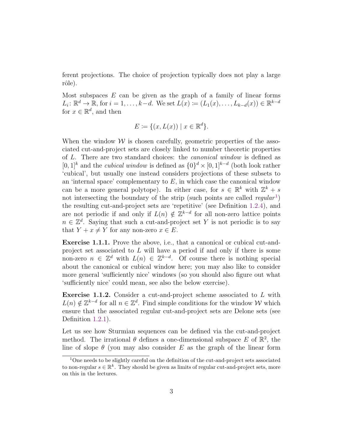ferent projections. The choice of projection typically does not play a large rôle).

Most subspaces  $E$  can be given as the graph of a family of linear forms  $L_i: \mathbb{R}^d \to \mathbb{R}$ , for  $i = 1, \ldots, k-d$ . We set  $L(x) := (L_1(x), \ldots, L_{k-d}(x)) \in \mathbb{R}^{k-d}$ for  $x \in \mathbb{R}^d$ , and then

$$
E \coloneqq \{ (x, L(x)) \mid x \in \mathbb{R}^d \}.
$$

When the window  $W$  is chosen carefully, geometric properties of the associated cut-and-project sets are closely linked to number theoretic properties of L. There are two standard choices: the canonical window is defined as  $[0,1]^k$  and the *cubical window* is defined as  $\{0\}^d \times [0,1]^{k-d}$  (both look rather 'cubical', but usually one instead considers projections of these subsets to an 'internal space' complementary to  $E$ , in which case the canonical window can be a more general polytope). In either case, for  $s \in \mathbb{R}^k$  with  $\mathbb{Z}^k + s$ not intersecting the boundary of the strip (such points are called  $regular<sup>1</sup>$  $regular<sup>1</sup>$  $regular<sup>1</sup>$ ) the resulting cut-and-project sets are 'repetitive' (see Definition [1.2.4\)](#page-11-1), and are not periodic if and only if  $L(n) \notin \mathbb{Z}^{k-d}$  for all non-zero lattice points  $n \in \mathbb{Z}^d$ . Saying that such a cut-and-project set Y is not periodic is to say that  $Y + x \neq Y$  for any non-zero  $x \in E$ .

Exercise 1.1.1. Prove the above, i.e., that a canonical or cubical cut-andproject set associated to L will have a period if and only if there is some non-zero  $n \in \mathbb{Z}^d$  with  $L(n) \in \mathbb{Z}^{k-d}$ . Of course there is nothing special about the canonical or cubical window here; you may also like to consider more general 'sufficiently nice' windows (so you should also figure out what 'sufficiently nice' could mean, see also the below exercise).

**Exercise 1.1.2.** Consider a cut-and-project scheme associated to  $L$  with  $L(n) \notin \mathbb{Z}^{k-d}$  for all  $n \in \mathbb{Z}^d$ . Find simple conditions for the window W which ensure that the associated regular cut-and-project sets are Delone sets (see Definition [1.2.1\)](#page-8-1).

Let us see how Sturmian sequences can be defined via the cut-and-project method. The irrational  $\theta$  defines a one-dimensional subspace E of  $\mathbb{R}^2$ , the line of slope  $\theta$  (you may also consider E as the graph of the linear form

<span id="page-6-0"></span><sup>&</sup>lt;sup>1</sup>One needs to be slightly careful on the definition of the cut-and-project sets associated to non-regular  $s \in \mathbb{R}^k$ . They should be given as limits of regular cut-and-project sets, more on this in the lectures.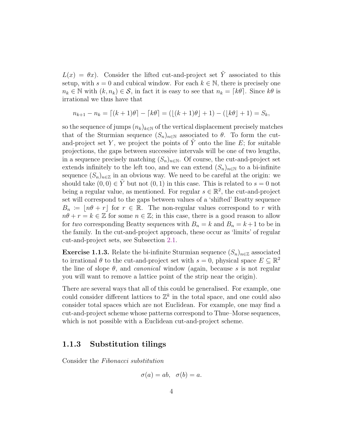$L(x) = \theta x$ . Consider the lifted cut-and-project set  $\tilde{Y}$  associated to this setup, with  $s = 0$  and cubical window. For each  $k \in \mathbb{N}$ , there is precisely one  $n_k \in \mathbb{N}$  with  $(k, n_k) \in \mathcal{S}$ , in fact it is easy to see that  $n_k = \lceil k\theta \rceil$ . Since  $k\theta$  is irrational we thus have that

$$
n_{k+1} - n_k = \lceil (k+1)\theta \rceil - \lceil k\theta \rceil = (\lfloor (k+1)\theta \rfloor + 1) - (\lfloor k\theta \rfloor + 1) = S_k,
$$

so the sequence of jumps  $(n_k)_{k\in\mathbb{N}}$  of the vertical displacement precisely matches that of the Sturmian sequence  $(S_n)_{n\in\mathbb{N}}$  associated to  $\theta$ . To form the cutand-project set Y, we project the points of  $\tilde{Y}$  onto the line E; for suitable projections, the gaps between successive intervals will be one of two lengths, in a sequence precisely matching  $(S_n)_{n\in\mathbb{N}}$ . Of course, the cut-and-project set extends infinitely to the left too, and we can extend  $(S_n)_{n\in\mathbb{N}}$  to a bi-infinite sequence  $(S_n)_{n\in\mathbb{Z}}$  in an obvious way. We need to be careful at the origin: we should take  $(0,0) \in Y$  but not  $(0,1)$  in this case. This is related to  $s = 0$  not being a regular value, as mentioned. For regular  $s \in \mathbb{R}^2$ , the cut-and-project set will correspond to the gaps between values of a 'shifted' Beatty sequence  $B_n := |n\theta + r|$  for  $r \in \mathbb{R}$ . The non-regular values correspond to r with  $n\theta + r = k \in \mathbb{Z}$  for some  $n \in \mathbb{Z}$ ; in this case, there is a good reason to allow for two corresponding Beatty sequences with  $B_n = k$  and  $B_n = k+1$  to be in the family. In the cut-and-project approach, these occur as 'limits' of regular cut-and-project sets, see Subsection [2.1.](#page-18-1)

**Exercise 1.1.3.** Relate the bi-infinite Sturmian sequence  $(S_n)_{n\in\mathbb{Z}}$  associated to irrational  $\theta$  to the cut-and-project set with  $s = 0$ , physical space  $E \subseteq \mathbb{R}^2$ the line of slope  $\theta$ , and *canonical* window (again, because s is not regular you will want to remove a lattice point of the strip near the origin).

There are several ways that all of this could be generalised. For example, one could consider different lattices to  $\mathbb{Z}^k$  in the total space, and one could also consider total spaces which are not Euclidean. For example, one may find a cut-and-project scheme whose patterns correspond to Thue–Morse sequences, which is not possible with a Euclidean cut-and-project scheme.

### <span id="page-7-0"></span>1.1.3 Substitution tilings

Consider the Fibonacci substitution

$$
\sigma(a) = ab, \ \sigma(b) = a.
$$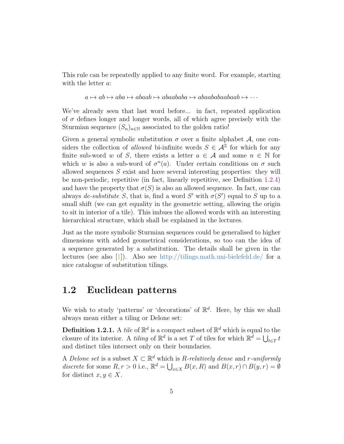This rule can be repeatedly applied to any finite word. For example, starting with the letter  $a$ :

 $a \mapsto ab \mapsto aba \mapsto abaab \mapsto abaababa \mapsto abaababaabaab \mapsto \cdots$ 

We've already seen that last word before... in fact, repeated application of  $\sigma$  defines longer and longer words, all of which agree precisely with the Sturmian sequence  $(S_n)_{n\in\mathbb{N}}$  associated to the golden ratio!

Given a general symbolic substitution  $\sigma$  over a finite alphabet A, one considers the collection of allowed bi-infinite words  $S \in \mathcal{A}^{\mathbb{Z}}$  for which for any finite sub-word w of S, there exists a letter  $a \in \mathcal{A}$  and some  $n \in \mathbb{N}$  for which w is also a sub-word of  $\sigma^n(a)$ . Under certain conditions on  $\sigma$  such allowed sequences S exist and have several interesting properties: they will be non-periodic, repetitive (in fact, linearly repetitive, see Definition [1.2.4\)](#page-11-1) and have the property that  $\sigma(S)$  is also an allowed sequence. In fact, one can always de-substitute S, that is, find a word S' with  $\sigma(S')$  equal to S up to a small shift (we can get equality in the geometric setting, allowing the origin to sit in interior of a tile). This imbues the allowed words with an interesting hierarchical structure, which shall be explained in the lectures.

Just as the more symbolic Sturmian sequences could be generalised to higher dimensions with added geometrical considerations, so too can the idea of a sequence generated by a substitution. The details shall be given in the lectures (see also [\[1\]](#page-41-0)). Also see <http://tilings.math.uni-bielefeld.de/> for a nice catalogue of substitution tilings.

## <span id="page-8-0"></span>1.2 Euclidean patterns

We wish to study 'patterns' or 'decorations' of  $\mathbb{R}^d$ . Here, by this we shall always mean either a tiling or Delone set:

<span id="page-8-1"></span>**Definition 1.2.1.** A *tile* of  $\mathbb{R}^d$  is a compact subset of  $\mathbb{R}^d$  which is equal to the closure of its interior. A *tiling* of  $\mathbb{R}^d$  is a set T of tiles for which  $\mathbb{R}^{\overline{d}} = \bigcup_{t \in T} t$ and distinct tiles intersect only on their boundaries.

A Delone set is a subset  $X \subset \mathbb{R}^d$  which is R-relatively dense and r-uniformly discrete for some  $R, r > 0$  i.e.,  $\mathbb{R}^d = \bigcup_{x \in X} B(x, R)$  and  $B(x, r) \cap B(y, r) = \emptyset$ for distinct  $x, y \in X$ .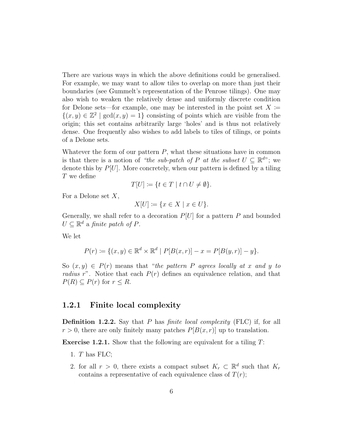There are various ways in which the above definitions could be generalised. For example, we may want to allow tiles to overlap on more than just their boundaries (see Gummelt's representation of the Penrose tilings). One may also wish to weaken the relatively dense and uniformly discrete condition for Delone sets—for example, one may be interested in the point set  $X \coloneqq$  $\{(x, y) \in \mathbb{Z}^2 \mid \gcd(x, y) = 1\}$  consisting of points which are visible from the origin; this set contains arbitrarily large 'holes' and is thus not relatively dense. One frequently also wishes to add labels to tiles of tilings, or points of a Delone sets.

Whatever the form of our pattern  $P$ , what these situations have in common is that there is a notion of "the sub-patch of P at the subset  $U \subseteq \mathbb{R}^{d}$ "; we denote this by  $P[U]$ . More concretely, when our pattern is defined by a tiling T we define

$$
T[U] \coloneqq \{ t \in T \mid t \cap U \neq \emptyset \}.
$$

For a Delone set  $X$ ,

$$
X[U] \coloneqq \{x \in X \mid x \in U\}.
$$

Generally, we shall refer to a decoration  $P[U]$  for a pattern P and bounded  $U \subseteq \mathbb{R}^d$  a finite patch of P.

We let

$$
P(r) := \{(x, y) \in \mathbb{R}^d \times \mathbb{R}^d \mid P[B(x, r)] - x = P[B(y, r)] - y\}.
$$

So  $(x, y) \in P(r)$  means that "the pattern P agrees locally at x and y to radius r". Notice that each  $P(r)$  defines an equivalence relation, and that  $P(R) \subseteq P(r)$  for  $r \leq R$ .

### <span id="page-9-0"></span>1.2.1 Finite local complexity

**Definition 1.2.2.** Say that  $P$  has *finite local complexity* (FLC) if, for all  $r > 0$ , there are only finitely many patches  $P[B(x, r)]$  up to translation.

**Exercise 1.2.1.** Show that the following are equivalent for a tiling  $T$ :

- 1. T has FLC;
- 2. for all  $r > 0$ , there exists a compact subset  $K_r \subset \mathbb{R}^d$  such that  $K_r$ contains a representative of each equivalence class of  $T(r)$ ;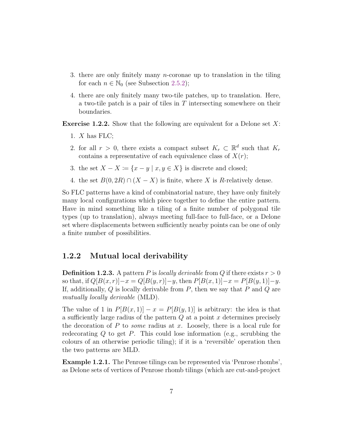- 3. there are only finitely many *n*-coronae up to translation in the tiling for each  $n \in \mathbb{N}_0$  (see Subsection [2.5.2\)](#page-24-0);
- 4. there are only finitely many two-tile patches, up to translation. Here, a two-tile patch is a pair of tiles in T intersecting somewhere on their boundaries.

**Exercise 1.2.2.** Show that the following are equivalent for a Delone set  $X$ :

- 1.  $X$  has FLC;
- 2. for all  $r > 0$ , there exists a compact subset  $K_r \subset \mathbb{R}^d$  such that  $K_r$ contains a representative of each equivalence class of  $X(r)$ ;
- 3. the set  $X X \coloneqq \{x y \mid x, y \in X\}$  is discrete and closed;
- 4. the set  $B(0, 2R) \cap (X X)$  is finite, where X is R-relatively dense.

So FLC patterns have a kind of combinatorial nature, they have only finitely many local configurations which piece together to define the entire pattern. Have in mind something like a tiling of a finite number of polygonal tile types (up to translation), always meeting full-face to full-face, or a Delone set where displacements between sufficiently nearby points can be one of only a finite number of possibilities.

#### <span id="page-10-0"></span>1.2.2 Mutual local derivability

**Definition 1.2.3.** A pattern P is locally derivable from Q if there exists  $r > 0$ so that, if  $Q[B(x,r)]-x = Q[B(y,r)]-y$ , then  $P[B(x, 1)]-x = P[B(y, 1)]-y$ . If, additionally,  $Q$  is locally derivable from  $P$ , then we say that  $P$  and  $Q$  are mutually locally derivable (MLD).

The value of 1 in  $P[B(x, 1)] - x = P[B(y, 1)]$  is arbitrary: the idea is that a sufficiently large radius of the pattern  $Q$  at a point  $x$  determines precisely the decoration of  $P$  to *some* radius at  $x$ . Loosely, there is a local rule for redecorating  $Q$  to get  $P$ . This could lose information (e.g., scrubbing the colours of an otherwise periodic tiling); if it is a 'reversible' operation then the two patterns are MLD.

Example 1.2.1. The Penrose tilings can be represented via 'Penrose rhombs', as Delone sets of vertices of Penrose rhomb tilings (which are cut-and-project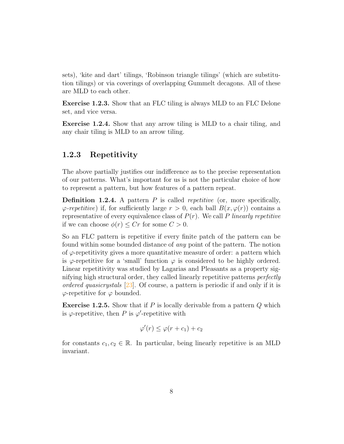sets), 'kite and dart' tilings, 'Robinson triangle tilings' (which are substitution tilings) or via coverings of overlapping Gummelt decagons. All of these are MLD to each other.

Exercise 1.2.3. Show that an FLC tiling is always MLD to an FLC Delone set, and vice versa.

Exercise 1.2.4. Show that any arrow tiling is MLD to a chair tiling, and any chair tiling is MLD to an arrow tiling.

### <span id="page-11-0"></span>1.2.3 Repetitivity

The above partially justifies our indifference as to the precise representation of our patterns. What's important for us is not the particular choice of how to represent a pattern, but how features of a pattern repeat.

<span id="page-11-1"></span>**Definition 1.2.4.** A pattern  $P$  is called *repetitive* (or, more specifically,  $\varphi$ -repetitive) if, for sufficiently large  $r > 0$ , each ball  $B(x, \varphi(r))$  contains a representative of every equivalence class of  $P(r)$ . We call P linearly repetitive if we can choose  $\phi(r) \leq Cr$  for some  $C > 0$ .

So an FLC pattern is repetitive if every finite patch of the pattern can be found within some bounded distance of any point of the pattern. The notion of  $\varphi$ -repetitivity gives a more quantitative measure of order: a pattern which is  $\varphi$ -repetitive for a 'small' function  $\varphi$  is considered to be highly ordered. Linear repetitivity was studied by Lagarias and Pleasants as a property signifying high structural order, they called linearly repetitive patterns perfectly ordered quasicrystals  $[23]$ . Of course, a pattern is periodic if and only if it is  $\varphi$ -repetitive for  $\varphi$  bounded.

**Exercise 1.2.5.** Show that if P is locally derivable from a pattern  $Q$  which is  $\varphi$ -repetitive, then P is  $\varphi'$ -repetitive with

$$
\varphi'(r) \leq \varphi(r+c_1) + c_2
$$

for constants  $c_1, c_2 \in \mathbb{R}$ . In particular, being linearly repetitive is an MLD invariant.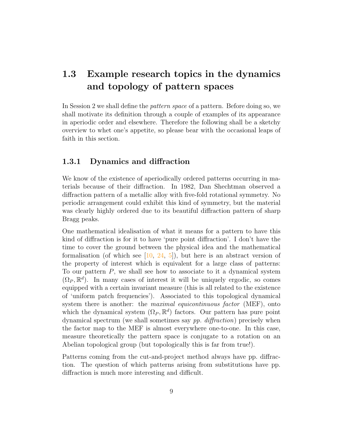## <span id="page-12-0"></span>1.3 Example research topics in the dynamics and topology of pattern spaces

In Session 2 we shall define the pattern space of a pattern. Before doing so, we shall motivate its definition through a couple of examples of its appearance in aperiodic order and elsewhere. Therefore the following shall be a sketchy overview to whet one's appetite, so please bear with the occasional leaps of faith in this section.

### <span id="page-12-1"></span>1.3.1 Dynamics and diffraction

We know of the existence of aperiodically ordered patterns occurring in materials because of their diffraction. In 1982, Dan Shechtman observed a diffraction pattern of a metallic alloy with five-fold rotational symmetry. No periodic arrangement could exhibit this kind of symmetry, but the material was clearly highly ordered due to its beautiful diffraction pattern of sharp Bragg peaks.

One mathematical idealisation of what it means for a pattern to have this kind of diffraction is for it to have 'pure point diffraction'. I don't have the time to cover the ground between the physical idea and the mathematical formalisation (of which see  $[10, 24, 5]$  $[10, 24, 5]$  $[10, 24, 5]$  $[10, 24, 5]$ ), but here is an abstract version of the property of interest which is equivalent for a large class of patterns: To our pattern  $P$ , we shall see how to associate to it a dynamical system  $(\Omega_P, \mathbb{R}^d)$ . In many cases of interest it will be uniquely ergodic, so comes equipped with a certain invariant measure (this is all related to the existence of 'uniform patch frequencies'). Associated to this topological dynamical system there is another: the *maximal equicontinuous factor* (MEF), onto which the dynamical system  $(\Omega_P, \mathbb{R}^d)$  factors. Our pattern has pure point dynamical spectrum (we shall sometimes say pp. diffraction) precisely when the factor map to the MEF is almost everywhere one-to-one. In this case, measure theoretically the pattern space is conjugate to a rotation on an Abelian topological group (but topologically this is far from true!).

Patterns coming from the cut-and-project method always have pp. diffraction. The question of which patterns arising from substitutions have pp. diffraction is much more interesting and difficult.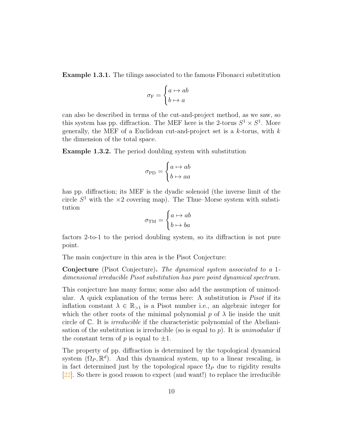Example 1.3.1. The tilings associated to the famous Fibonacci substitution

$$
\sigma_{\mathcal{F}} = \begin{cases} a \mapsto ab \\ b \mapsto a \end{cases}
$$

can also be described in terms of the cut-and-project method, as we saw, so this system has pp. diffraction. The MEF here is the 2-torus  $S^1 \times S^1$ . More generally, the MEF of a Euclidean cut-and-project set is a  $k$ -torus, with  $k$ the dimension of the total space.

Example 1.3.2. The period doubling system with substitution

$$
\sigma_{\text{PD}} = \begin{cases} a \mapsto ab \\ b \mapsto aa \end{cases}
$$

has pp. diffraction; its MEF is the dyadic solenoid (the inverse limit of the circle  $S<sup>1</sup>$  with the  $\times 2$  covering map). The Thue–Morse system with substitution

$$
\sigma_{\rm TM} = \begin{cases} a \mapsto ab \\ b \mapsto ba \end{cases}
$$

factors 2-to-1 to the period doubling system, so its diffraction is not pure point.

The main conjecture in this area is the Pisot Conjecture:

Conjecture (Pisot Conjecture). The dynamical system associated to a 1 dimensional irreducible Pisot substitution has pure point dynamical spectrum.

This conjecture has many forms; some also add the assumption of unimodular. A quick explanation of the terms here: A substitution is Pisot if its inflation constant  $\lambda \in \mathbb{R}_{\geq 1}$  is a Pisot number i.e., an algebraic integer for which the other roots of the minimal polynomial  $p$  of  $\lambda$  lie inside the unit circle of C. It is irreducible if the characteristic polynomial of the Abelianisation of the substitution is irreducible (so is equal to p). It is unimodular if the constant term of  $p$  is equal to  $\pm 1$ .

The property of pp. diffraction is determined by the topological dynamical system  $(\Omega_P, \mathbb{R}^d)$ . And this dynamical system, up to a linear rescaling, is in fact determined just by the topological space  $\Omega_P$  due to rigidity results [\[22\]](#page-42-2). So there is good reason to expect (and want!) to replace the irreducible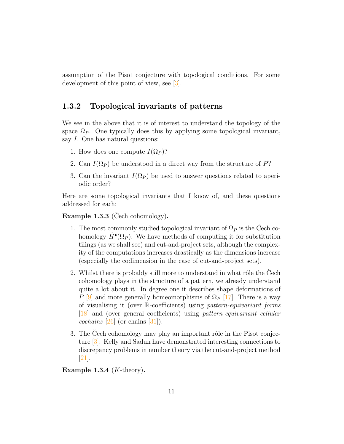assumption of the Pisot conjecture with topological conditions. For some development of this point of view, see [\[3\]](#page-41-2).

### <span id="page-14-0"></span>1.3.2 Topological invariants of patterns

We see in the above that it is of interest to understand the topology of the space  $\Omega_P$ . One typically does this by applying some topological invariant, say *I*. One has natural questions:

- 1. How does one compute  $I(\Omega_P)$ ?
- 2. Can  $I(\Omega_P)$  be understood in a direct way from the structure of P?
- 3. Can the invariant  $I(\Omega_P)$  be used to answer questions related to aperiodic order?

Here are some topological invariants that I know of, and these questions addressed for each:

Example  $1.3.3$  (Cech cohomology).

- 1. The most commonly studied topological invariant of  $\Omega_P$  is the Čech cohomology  $\check{H}^{\bullet}(\Omega_P)$ . We have methods of computing it for substitution tilings (as we shall see) and cut-and-project sets, although the complexity of the computations increases drastically as the dimensions increase (especially the codimension in the case of cut-and-project sets).
- 2. Whilst there is probably still more to understand in what rôle the Cech cohomology plays in the structure of a pattern, we already understand quite a lot about it. In degree one it describes shape deformations of P [\[9\]](#page-41-3) and more generally homeomorphisms of  $\Omega_P$  [\[17\]](#page-42-3). There is a way of visualising it (over R-coefficients) using pattern-equivariant forms [\[18\]](#page-42-4) and (over general coefficients) using pattern-equivariant cellular *cochains*  $[26]$  (or chains  $[31]$ ).
- 3. The Cech cohomology may play an important rôle in the Pisot conjecture [\[3\]](#page-41-2). Kelly and Sadun have demonstrated interesting connections to discrepancy problems in number theory via the cut-and-project method [\[21\]](#page-42-5).

Example 1.3.4  $(K\text{-theory})$ .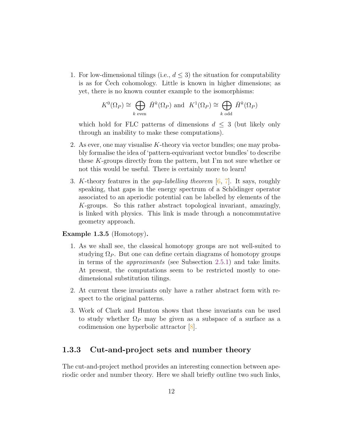1. For low-dimensional tilings (i.e.,  $d \leq 3$ ) the situation for computability is as for Cech cohomology. Little is known in higher dimensions; as yet, there is no known counter example to the isomorphisms:

$$
K^0(\Omega_P) \cong \bigoplus_{k \text{ even}} \check{H}^k(\Omega_P) \text{ and } K^1(\Omega_P) \cong \bigoplus_{k \text{ odd}} \check{H}^k(\Omega_P)
$$

which hold for FLC patterns of dimensions  $d \leq 3$  (but likely only through an inability to make these computations).

- 2. As ever, one may visualise K-theory via vector bundles; one may probably formalise the idea of 'pattern-equivariant vector bundles' to describe these K-groups directly from the pattern, but I'm not sure whether or not this would be useful. There is certainly more to learn!
- 3. K-theory features in the *gap-labelling theorem*  $[6, 7]$  $[6, 7]$  $[6, 7]$ . It says, roughly speaking, that gaps in the energy spectrum of a Schödinger operator associated to an aperiodic potential can be labelled by elements of the K-groups. So this rather abstract topological invariant, amazingly, is linked with physics. This link is made through a noncommutative geometry approach.

Example 1.3.5 (Homotopy).

- 1. As we shall see, the classical homotopy groups are not well-suited to studying  $\Omega_P$ . But one can define certain diagrams of homotopy groups in terms of the approximants (see Subsection [2.5.1\)](#page-23-1) and take limits. At present, the computations seem to be restricted mostly to onedimensional substitution tilings.
- 2. At current these invariants only have a rather abstract form with respect to the original patterns.
- 3. Work of Clark and Hunton shows that these invariants can be used to study whether  $\Omega_P$  may be given as a subspace of a surface as a codimension one hyperbolic attractor [\[8\]](#page-41-6).

### <span id="page-15-0"></span>1.3.3 Cut-and-project sets and number theory

The cut-and-project method provides an interesting connection between aperiodic order and number theory. Here we shall briefly outline two such links,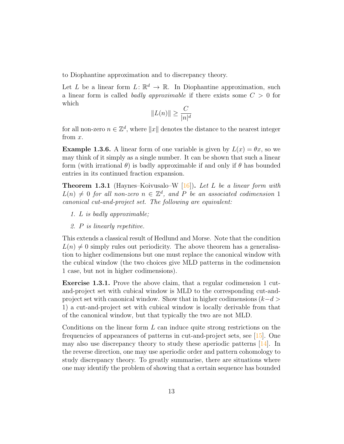to Diophantine approximation and to discrepancy theory.

Let L be a linear form  $L: \mathbb{R}^d \to \mathbb{R}$ . In Diophantine approximation, such a linear form is called *badly approximable* if there exists some  $C > 0$  for which

$$
||L(n)|| \ge \frac{C}{|n|^d}
$$

for all non-zero  $n \in \mathbb{Z}^d$ , where  $||x||$  denotes the distance to the nearest integer from x.

**Example 1.3.6.** A linear form of one variable is given by  $L(x) = \theta x$ , so we may think of it simply as a single number. It can be shown that such a linear form (with irrational  $\theta$ ) is badly approximable if and only if  $\theta$  has bounded entries in its continued fraction expansion.

**Theorem 1.3.1** (Haynes–Koivusalo–W [\[16\]](#page-42-6)). Let L be a linear form with  $L(n) \neq 0$  for all non-zero  $n \in \mathbb{Z}^d$ , and P be an associated codimension 1 canonical cut-and-project set. The following are equivalent:

- 1. L is badly approximable;
- 2. P is linearly repetitive.

This extends a classical result of Hedlund and Morse. Note that the condition  $L(n) \neq 0$  simply rules out periodicity. The above theorem has a generalisation to higher codimensions but one must replace the canonical window with the cubical window (the two choices give MLD patterns in the codimension 1 case, but not in higher codimensions).

Exercise 1.3.1. Prove the above claim, that a regular codimension 1 cutand-project set with cubical window is MLD to the corresponding cut-andproject set with canonical window. Show that in higher codimensions  $(k-d)$ 1) a cut-and-project set with cubical window is locally derivable from that of the canonical window, but that typically the two are not MLD.

Conditions on the linear form  $L$  can induce quite strong restrictions on the frequencies of appearances of patterns in cut-and-project sets, see [\[15\]](#page-42-7). One may also use discrepancy theory to study these aperiodic patterns [\[14\]](#page-42-8). In the reverse direction, one may use aperiodic order and pattern cohomology to study discrepancy theory. To greatly summarise, there are situations where one may identify the problem of showing that a certain sequence has bounded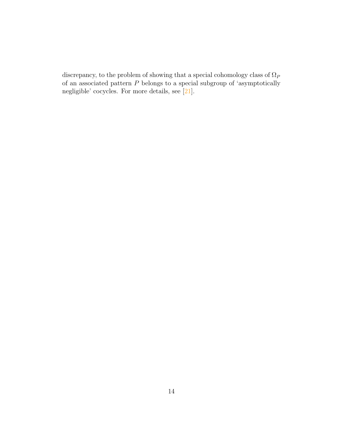discrepancy, to the problem of showing that a special cohomology class of  $\Omega_P$ of an associated pattern  $P$  belongs to a special subgroup of 'asymptotically negligible' cocycles. For more details, see [\[21\]](#page-42-5).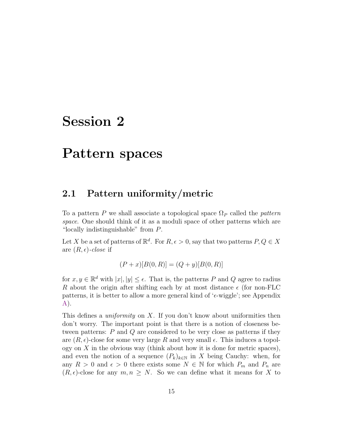## <span id="page-18-0"></span>Session 2

## Pattern spaces

### <span id="page-18-1"></span>2.1 Pattern uniformity/metric

To a pattern P we shall associate a topological space  $\Omega_P$  called the *pattern* space. One should think of it as a moduli space of other patterns which are "locally indistinguishable" from P.

Let X be a set of patterns of  $\mathbb{R}^d$ . For  $R, \epsilon > 0$ , say that two patterns  $P, Q \in X$ are  $(R, \epsilon)$ -close if

$$
(P+x)[B(0,R)] = (Q+y)[B(0,R)]
$$

for  $x, y \in \mathbb{R}^d$  with  $|x|, |y| \leq \epsilon$ . That is, the patterns P and Q agree to radius R about the origin after shifting each by at most distance  $\epsilon$  (for non-FLC patterns, it is better to allow a more general kind of ' $\epsilon$ -wiggle'; see Appendix [A\)](#page-39-0).

This defines a *uniformity* on X. If you don't know about uniformities then don't worry. The important point is that there is a notion of closeness between patterns: P and Q are considered to be very close as patterns if they are  $(R, \epsilon)$ -close for some very large R and very small  $\epsilon$ . This induces a topology on  $X$  in the obvious way (think about how it is done for metric spaces), and even the notion of a sequence  $(P_k)_{k\in\mathbb{N}}$  in X being Cauchy: when, for any  $R > 0$  and  $\epsilon > 0$  there exists some  $N \in \mathbb{N}$  for which  $P_m$  and  $P_n$  are  $(R, \epsilon)$ -close for any  $m, n \geq N$ . So we can define what it means for X to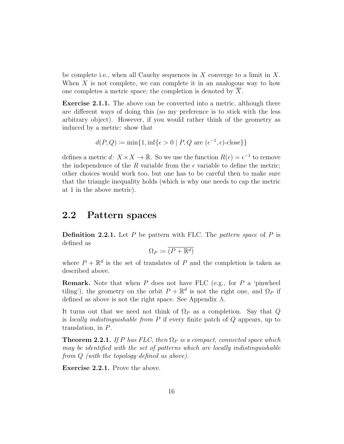be complete i.e., when all Cauchy sequences in X converge to a limit in X. When  $X$  is not complete, we can complete it in an analogous way to how one completes a metric space; the completion is denoted by  $X$ .

Exercise 2.1.1. The above can be converted into a metric, although there are different ways of doing this (so my preference is to stick with the less arbitrary object). However, if you would rather think of the geometry as induced by a metric: show that

$$
d(P,Q) \coloneqq \min\{1, \inf\{\epsilon > 0 \mid P, Q \text{ are } (\epsilon^{-1}, \epsilon)\text{-close}\}\}
$$

defines a metric  $d: X \times X \to \mathbb{R}$ . So we use the function  $R(\epsilon) = \epsilon^{-1}$  to remove the independence of the R variable from the  $\epsilon$  variable to define the metric; other choices would work too, but one has to be careful then to make sure that the triangle inequality holds (which is why one needs to cap the metric at 1 in the above metric).

### <span id="page-19-0"></span>2.2 Pattern spaces

**Definition 2.2.1.** Let P be pattern with FLC. The pattern space of P is defined as

$$
\Omega_P \coloneqq \overline{(P + \mathbb{R}^d)}
$$

where  $P + \mathbb{R}^d$  is the set of translates of P and the completion is taken as described above.

**Remark.** Note that when  $P$  does not have FLC (e.g., for  $P$  a 'pinwheel tiling'), the geometry on the orbit  $P + \mathbb{R}^d$  is not the right one, and  $\Omega_P$  if defined as above is not the right space. See Appendix [A.](#page-39-0)

It turns out that we need not think of  $\Omega_P$  as a completion. Say that Q is *locally indistinguishable from*  $P$  if every finite patch of  $Q$  appears, up to translation, in P.

**Theorem 2.2.1.** If P has FLC, then  $\Omega_P$  is a compact, connected space which may be identified with the set of patterns which are locally indistinguishable from Q (with the topology defined as above).

Exercise 2.2.1. Prove the above.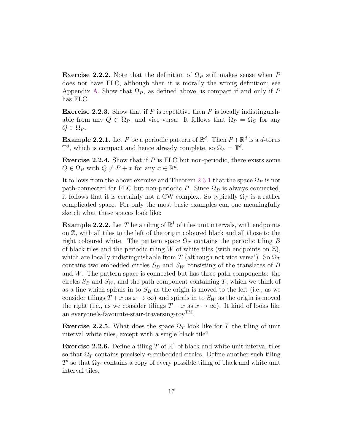**Exercise 2.2.2.** Note that the definition of  $\Omega_P$  still makes sense when P does not have FLC, although then it is morally the wrong definition; see Appendix [A.](#page-39-0) Show that  $\Omega_P$ , as defined above, is compact if and only if P has FLC.

**Exercise 2.2.3.** Show that if P is repetitive then P is locally indistinguishable from any  $Q \in \Omega_P$ , and vice versa. It follows that  $\Omega_P = \Omega_Q$  for any  $Q \in \Omega_P$ .

**Example 2.2.1.** Let P be a periodic pattern of  $\mathbb{R}^d$ . Then  $P + \mathbb{R}^d$  is a d-torus  $\mathbb{T}^d$ , which is compact and hence already complete, so  $\Omega_P = \mathbb{T}^d$ .

**Exercise 2.2.4.** Show that if  $P$  is FLC but non-periodic, there exists some  $Q \in \Omega_P$  with  $Q \neq P + x$  for any  $x \in \mathbb{R}^d$ .

It follows from the above exercise and Theorem [2.3.1](#page-21-1) that the space  $\Omega_P$  is not path-connected for FLC but non-periodic P. Since  $\Omega_P$  is always connected, it follows that it is certainly not a CW complex. So typically  $\Omega_P$  is a rather complicated space. For only the most basic examples can one meaningfully sketch what these spaces look like:

**Example 2.2.2.** Let T be a tiling of  $\mathbb{R}^1$  of tiles unit intervals, with endpoints on  $\mathbb{Z}$ , with all tiles to the left of the origin coloured black and all those to the right coloured white. The pattern space  $\Omega_T$  contains the periodic tiling B of black tiles and the periodic tiling W of white tiles (with endpoints on  $\mathbb{Z}$ ), which are locally indistinguishable from T (although not vice versa!). So  $\Omega_T$ contains two embedded circles  $S_B$  and  $S_W$  consisting of the translates of B and  $W$ . The pattern space is connected but has three path components: the circles  $S_B$  and  $S_W$ , and the path component containing T, which we think of as a line which spirals in to  $S_B$  as the origin is moved to the left (i.e., as we consider tilings  $T + x$  as  $x \to \infty$ ) and spirals in to  $S_W$  as the origin is moved the right (i.e., as we consider tilings  $T - x$  as  $x \to \infty$ ). It kind of looks like an everyone's-favourite-stair-traversing-toyTM.

**Exercise 2.2.5.** What does the space  $\Omega_T$  look like for T the tiling of unit interval white tiles, except with a single black tile?

**Exercise 2.2.6.** Define a tiling T of  $\mathbb{R}^1$  of black and white unit interval tiles so that  $\Omega_T$  contains precisely n embedded circles. Define another such tiling  $T'$  so that  $\Omega_{T'}$  contains a copy of every possible tiling of black and white unit interval tiles.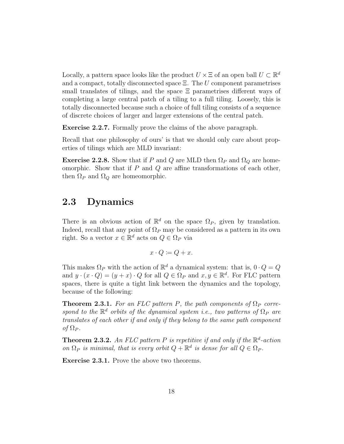Locally, a pattern space looks like the product  $U \times \Xi$  of an open ball  $U \subset \mathbb{R}^d$ and a compact, totally disconnected space  $\Xi$ . The U component parametrises small translates of tilings, and the space  $\Xi$  parametrises different ways of completing a large central patch of a tiling to a full tiling. Loosely, this is totally disconnected because such a choice of full tiling consists of a sequence of discrete choices of larger and larger extensions of the central patch.

Exercise 2.2.7. Formally prove the claims of the above paragraph.

Recall that one philosophy of ours' is that we should only care about properties of tilings which are MLD invariant:

**Exercise 2.2.8.** Show that if P and Q are MLD then  $\Omega_P$  and  $\Omega_Q$  are homeomorphic. Show that if  $P$  and  $Q$  are affine transformations of each other, then  $\Omega_P$  and  $\Omega_Q$  are homeomorphic.

## <span id="page-21-0"></span>2.3 Dynamics

There is an obvious action of  $\mathbb{R}^d$  on the space  $\Omega_P$ , given by translation. Indeed, recall that any point of  $\Omega_P$  may be considered as a pattern in its own right. So a vector  $x \in \mathbb{R}^d$  acts on  $Q \in \Omega_P$  via

$$
x \cdot Q \coloneqq Q + x.
$$

This makes  $\Omega_P$  with the action of  $\mathbb{R}^d$  a dynamical system: that is,  $0 \cdot Q = Q$ and  $y \cdot (x \cdot Q) = (y + x) \cdot Q$  for all  $Q \in \Omega_P$  and  $x, y \in \mathbb{R}^d$ . For FLC pattern spaces, there is quite a tight link between the dynamics and the topology, because of the following:

<span id="page-21-1"></span>**Theorem 2.3.1.** For an FLC pattern P, the path components of  $\Omega_P$  correspond to the  $\mathbb{R}^d$  orbits of the dynamical system i.e., two patterns of  $\Omega_P$  are translates of each other if and only if they belong to the same path component of  $\Omega_P$ .

**Theorem 2.3.2.** An FLC pattern P is repetitive if and only if the  $\mathbb{R}^d$ -action on  $\Omega_P$  is minimal, that is every orbit  $Q + \mathbb{R}^d$  is dense for all  $Q \in \Omega_P$ .

Exercise 2.3.1. Prove the above two theorems.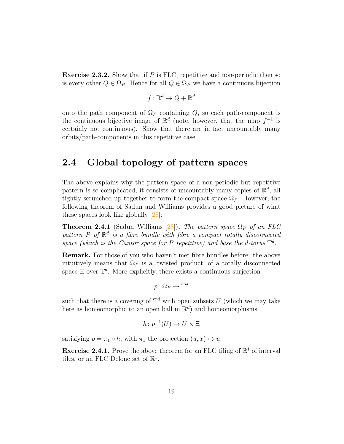**Exercise 2.3.2.** Show that if  $P$  is FLC, repetitive and non-periodic then so is every other  $Q \in \Omega_P$ . Hence for all  $Q \in \Omega_P$  we have a continuous bijection

$$
f\colon \mathbb{R}^d \to Q+\mathbb{R}^d
$$

onto the path component of  $\Omega_P$  containing Q, so each path-component is the continuous bijective image of  $\mathbb{R}^d$  (note, however, that the map  $f^{-1}$  is certainly not continuous). Show that there are in fact uncountably many orbits/path-components in this repetitive case.

## <span id="page-22-0"></span>2.4 Global topology of pattern spaces

The above explains why the pattern space of a non-periodic but repetitive pattern is so complicated, it consists of uncountably many copies of  $\mathbb{R}^d$ , all tightly scrunched up together to form the compact space  $\Omega_P$ . However, the following theorem of Sadun and Williams provides a good picture of what these spaces look like globally [\[28\]](#page-43-6):

**Theorem 2.4.1** (Sadun–Williams [\[28\]](#page-43-6)). The pattern space  $\Omega_P$  of an FLC pattern P of  $\mathbb{R}^d$  is a fibre bundle with fibre a compact totally disconnected space (which is the Cantor space for P repetitive) and base the d-torus  $\mathbb{T}^d$ .

Remark. For those of you who haven't met fibre bundles before: the above intuitively means that  $\Omega_P$  is a 'twisted product' of a totally disconnected space  $\Xi$  over  $\mathbb{T}^d$ . More explicitly, there exists a continuous surjection

$$
p\colon \Omega_P\to \mathbb{T}^d
$$

such that there is a covering of  $\mathbb{T}^d$  with open subsets U (which we may take here as homeomorphic to an open ball in  $\mathbb{R}^d$  and homeomorphisms

$$
h\colon p^{-1}(U)\to U\times \Xi
$$

satisfying  $p = \pi_1 \circ h$ , with  $\pi_1$  the projection  $(u, x) \mapsto u$ .

**Exercise 2.4.1.** Prove the above theorem for an FLC tiling of  $\mathbb{R}^1$  of interval tiles, or an FLC Delone set of  $\mathbb{R}^1$ .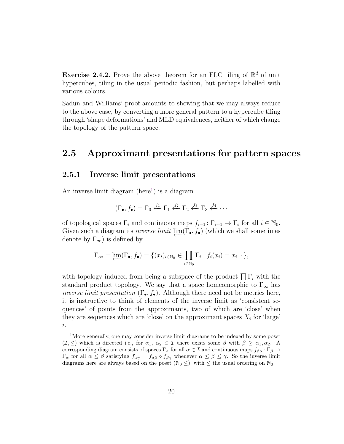**Exercise 2.4.2.** Prove the above theorem for an FLC tiling of  $\mathbb{R}^d$  of unit hypercubes, tiling in the usual periodic fashion, but perhaps labelled with various colours.

Sadun and Williams' proof amounts to showing that we may always reduce to the above case, by converting a more general pattern to a hypercube tiling through 'shape deformations' and MLD equivalences, neither of which change the topology of the pattern space.

## <span id="page-23-0"></span>2.5 Approximant presentations for pattern spaces

#### <span id="page-23-1"></span>2.5.1 Inverse limit presentations

An inverse limit diagram  $(here<sup>1</sup>)$  $(here<sup>1</sup>)$  $(here<sup>1</sup>)$  is a diagram

$$
(\Gamma_{\bullet}, f_{\bullet}) = \Gamma_0 \stackrel{f_1}{\leftarrow} \Gamma_1 \stackrel{f_2}{\leftarrow} \Gamma_2 \stackrel{f_3}{\leftarrow} \Gamma_3 \stackrel{f_4}{\leftarrow} \cdots
$$

of topological spaces  $\Gamma_i$  and continuous maps  $f_{i+1} : \Gamma_{i+1} \to \Gamma_i$  for all  $i \in \mathbb{N}_0$ . Given such a diagram its *inverse limit*  $\lim(\Gamma_{\bullet}, f_{\bullet})$  (which we shall sometimes denote by  $\Gamma_{\infty}$ ) is defined by

$$
\Gamma_{\infty} = \underleftarrow{\lim}(\Gamma_{\bullet}, f_{\bullet}) = \{(x_i)_{i \in \mathbb{N}_0} \in \prod_{i \in \mathbb{N}_0} \Gamma_i \mid f_i(x_i) = x_{i-1}\},
$$

with topology induced from being a subspace of the product  $\prod \Gamma_i$  with the standard product topology. We say that a space homeomorphic to  $\Gamma_{\infty}$  has *inverse limit presentation*  $(\Gamma_{\bullet}, f_{\bullet})$ . Although there need not be metrics here, it is instructive to think of elements of the inverse limit as 'consistent sequences' of points from the approximants, two of which are 'close' when they are sequences which are 'close' on the approximant spaces  $X_i$  for 'large' i.

<span id="page-23-2"></span><sup>1</sup>More generally, one may consider inverse limit diagrams to be indexed by some poset  $(\mathcal{I}, \leq)$  which is directed i.e., for  $\alpha_1, \alpha_2 \in \mathcal{I}$  there exists some  $\beta$  with  $\beta \geq \alpha_1, \alpha_2$ . A corresponding diagram consists of spaces  $\Gamma_\alpha$  for all  $\alpha \in \mathcal{I}$  and continuous maps  $f_{\beta \alpha}$ :  $\Gamma_\beta \to$  $\Gamma_{\alpha}$  for all  $\alpha \leq \beta$  satisfying  $f_{\alpha\gamma} = f_{\alpha\beta} \circ f_{\beta\gamma}$  whenever  $\alpha \leq \beta \leq \gamma$ . So the inverse limit diagrams here are always based on the poset ( $\mathbb{N}_0 \leq$ ), with  $\leq$  the usual ordering on  $\mathbb{N}_0$ .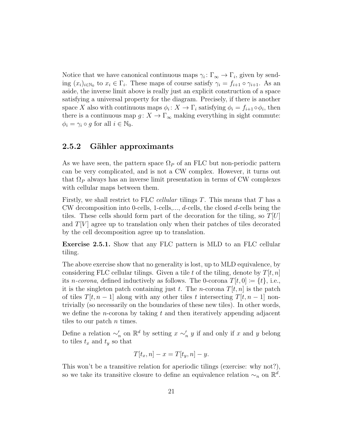Notice that we have canonical continuous maps  $\gamma_i: \Gamma_{\infty} \to \Gamma_i$ , given by sending  $(x_i)_{i\in\mathbb{N}_0}$  to  $x_i \in \Gamma_i$ . These maps of course satisfy  $\gamma_i = f_{i+1} \circ \gamma_{i+1}$ . As an aside, the inverse limit above is really just an explicit construction of a space satisfying a universal property for the diagram. Precisely, if there is another space X also with continuous maps  $\phi_i: X \to \Gamma_i$  satisfying  $\phi_i = f_{i+1} \circ \phi_i$ , then there is a continuous map  $g: X \to \Gamma_{\infty}$  making everything in sight commute:  $\phi_i = \gamma_i \circ g$  for all  $i \in \mathbb{N}_0$ .

### <span id="page-24-0"></span>2.5.2 Gähler approximants

As we have seen, the pattern space  $\Omega_P$  of an FLC but non-periodic pattern can be very complicated, and is not a CW complex. However, it turns out that  $\Omega_P$  always has an inverse limit presentation in terms of CW complexes with cellular maps between them.

Firstly, we shall restrict to FLC *cellular* tilings  $T$ . This means that  $T$  has a CW decomposition into 0-cells, 1-cells,...,  $d$ -cells, the closed  $d$ -cells being the tiles. These cells should form part of the decoration for the tiling, so  $T[U]$ and  $T[V]$  agree up to translation only when their patches of tiles decorated by the cell decomposition agree up to translation.

Exercise 2.5.1. Show that any FLC pattern is MLD to an FLC cellular tiling.

The above exercise show that no generality is lost, up to MLD equivalence, by considering FLC cellular tilings. Given a tile t of the tiling, denote by  $T[t, n]$ its *n*-corona, defined inductively as follows. The 0-corona  $T[t, 0] \coloneqq \{t\}$ , i.e., it is the singleton patch containing just t. The *n*-corona  $T[t, n]$  is the patch of tiles  $T[t, n-1]$  along with any other tiles t intersecting  $T[t, n-1]$  nontrivially (so necessarily on the boundaries of these new tiles). In other words, we define the *n*-corona by taking t and then iteratively appending adjacent tiles to our patch *n* times.

Define a relation  $\sim'_n$  on  $\mathbb{R}^d$  by setting  $x \sim'_n y$  if and only if x and y belong to tiles  $t_x$  and  $t_y$  so that

$$
T[t_x, n] - x = T[t_y, n] - y.
$$

This won't be a transitive relation for aperiodic tilings (exercise: why not?), so we take its transitive closure to define an equivalence relation  $\sim_n$  on  $\mathbb{R}^d$ .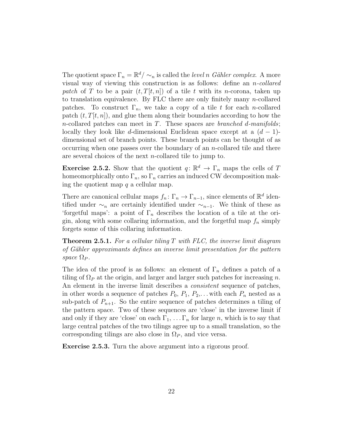The quotient space  $\Gamma_n = \mathbb{R}^d / \sim_n$  is called the *level n Gähler complex*. A more visual way of viewing this construction is as follows: define an  $n$ -collared patch of T to be a pair  $(t, T[t, n])$  of a tile t with its n-corona, taken up to translation equivalence. By FLC there are only finitely many  $n$ -collared patches. To construct  $\Gamma_n$ , we take a copy of a tile t for each n-collared patch  $(t, T[t, n])$ , and glue them along their boundaries according to how the n-collared patches can meet in T. These spaces are *branched d-manifolds*; locally they look like d-dimensional Euclidean space except at a  $(d-1)$ dimensional set of branch points. These branch points can be thought of as occurring when one passes over the boundary of an  $n$ -collared tile and there are several choices of the next n-collared tile to jump to.

**Exercise 2.5.2.** Show that the quotient  $q: \mathbb{R}^d \to \Gamma_n$  maps the cells of T homeomorphically onto  $\Gamma_n$ , so  $\Gamma_n$  carries an induced CW decomposition making the quotient map  $q$  a cellular map.

There are canonical cellular maps  $f_n: \Gamma_n \to \Gamma_{n-1}$ , since elements of  $\mathbb{R}^d$  identified under  $\sim_n$  are certainly identified under  $\sim_{n-1}$ . We think of these as 'forgetful maps': a point of  $\Gamma_n$  describes the location of a tile at the origin, along with some collaring information, and the forgetful map  $f_n$  simply forgets some of this collaring information.

**Theorem 2.5.1.** For a cellular tiling T with FLC, the inverse limit diagram of Gähler approximants defines an inverse limit presentation for the pattern space  $\Omega_P$ .

The idea of the proof is as follows: an element of  $\Gamma_n$  defines a patch of a tiling of  $\Omega_P$  at the origin, and larger and larger such patches for increasing n. An element in the inverse limit describes a *consistent* sequence of patches, in other words a sequence of patches  $P_0$ ,  $P_1$ ,  $P_2$ ,... with each  $P_n$  nested as a sub-patch of  $P_{n+1}$ . So the entire sequence of patches determines a tiling of the pattern space. Two of these sequences are 'close' in the inverse limit if and only if they are 'close' on each  $\Gamma_1, \ldots, \Gamma_n$  for large n, which is to say that large central patches of the two tilings agree up to a small translation, so the corresponding tilings are also close in  $\Omega_P$ , and vice versa.

Exercise 2.5.3. Turn the above argument into a rigorous proof.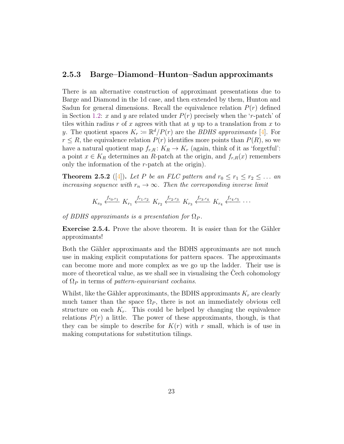#### <span id="page-26-0"></span>2.5.3 Barge–Diamond–Hunton–Sadun approximants

There is an alternative construction of approximant presentations due to Barge and Diamond in the 1d case, and then extended by them, Hunton and Sadun for general dimensions. Recall the equivalence relation  $P(r)$  defined in Section [1.2:](#page-8-0) x and y are related under  $P(r)$  precisely when the 'r-patch' of tiles within radius  $r$  of  $x$  agrees with that at  $y$  up to a translation from  $x$  to y. The quotient spaces  $K_r := \mathbb{R}^d / P(r)$  are the *BDHS approximants* [\[4\]](#page-41-7). For  $r \leq R$ , the equivalence relation  $P(r)$  identifies more points than  $P(R)$ , so we have a natural quotient map  $f_{r,R}: K_R \to K_r$  (again, think of it as 'forgetful': a point  $x \in K_R$  determines an R-patch at the origin, and  $f_{r,R}(x)$  remembers only the information of the  $r$ -patch at the origin).

**Theorem 2.5.2** ([\[4\]](#page-41-7)). Let P be an FLC pattern and  $r_0 \leq r_1 \leq r_2 \leq \ldots$  and increasing sequence with  $r_n \to \infty$ . Then the corresponding inverse limit

$$
K_{r_0}
$$
  $\xleftarrow{f_{r_0,r_1}} K_{r_1}$   $\xleftarrow{f_{r_1,r_2}} K_{r_2}$   $\xleftarrow{f_{r_2,r_3}} K_{r_3}$   $\xleftarrow{f_{r_3,r_4}} K_{r_4}$   $\xleftarrow{f_{r_4,r_5}}$  ...

of BDHS approximants is a presentation for  $\Omega_P$ .

**Exercise 2.5.4.** Prove the above theorem. It is easier than for the Gähler approximants!

Both the Gähler approximants and the BDHS approximants are not much use in making explicit computations for pattern spaces. The approximants can become more and more complex as we go up the ladder. Their use is more of theoretical value, as we shall see in visualising the Cech cohomology of  $\Omega_P$  in terms of pattern-equivariant cochains.

Whilst, like the Gähler approximants, the BDHS approximants  $K_r$  are clearly much tamer than the space  $\Omega_P$ , there is not an immediately obvious cell structure on each  $K_r$ . This could be helped by changing the equivalence relations  $P(r)$  a little. The power of these approximants, though, is that they can be simple to describe for  $K(r)$  with r small, which is of use in making computations for substitution tilings.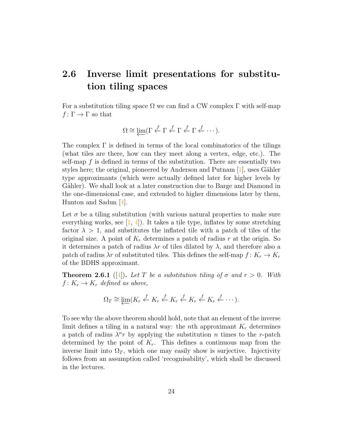## <span id="page-27-0"></span>2.6 Inverse limit presentations for substitution tiling spaces

For a substitution tiling space  $\Omega$  we can find a CW complex  $\Gamma$  with self-map  $f: \Gamma \to \Gamma$  so that

$$
\Omega \cong \varprojlim(\Gamma \stackrel{f}{\leftarrow} \Gamma \stackrel{f}{\leftarrow} \Gamma \stackrel{f}{\leftarrow} \Gamma \stackrel{f}{\leftarrow} \cdots).
$$

The complex  $\Gamma$  is defined in terms of the local combinatorics of the tilings (what tiles are there, how can they meet along a vertex, edge, etc.). The self-map  $f$  is defined in terms of the substitution. There are essentially two styles here; the original, pioneered by Anderson and Putnam  $[1]$ , uses Gähler type approximants (which were actually defined later for higher levels by Gähler). We shall look at a later construction due to Barge and Diamond in the one-dimensional case, and extended to higher dimensions later by them, Hunton and Sadun [\[4\]](#page-41-7).

Let  $\sigma$  be a tiling substitution (with various natural properties to make sure everything works, see  $[1, 4]$  $[1, 4]$ . It takes a tile type, inflates by some stretching factor  $\lambda > 1$ , and substitutes the inflated tile with a patch of tiles of the original size. A point of  $K_r$  determines a patch of radius r at the origin. So it determines a patch of radius  $\lambda r$  of tiles dilated by  $\lambda$ , and therefore also a patch of radius  $\lambda r$  of substituted tiles. This defines the self-map  $f: K_r \to K_r$ of the BDHS approximant.

**Theorem 2.6.1** ([\[4\]](#page-41-7)). Let T be a substitution tiling of  $\sigma$  and  $r > 0$ . With  $f: K_r \to K_r$  defined as above,

$$
\Omega_T \cong \varprojlim (K_r \stackrel{f}{\leftarrow} K_r \stackrel{f}{\leftarrow} K_r \stackrel{f}{\leftarrow} K_r \stackrel{f}{\leftarrow} K_r \stackrel{f}{\leftarrow} \cdots).
$$

To see why the above theorem should hold, note that an element of the inverse limit defines a tiling in a natural way: the *n*th approximant  $K_r$  determines a patch of radius  $\lambda^n r$  by applying the substitution n times to the r-patch determined by the point of  $K_r$ . This defines a continuous map from the inverse limit into  $\Omega_T$ , which one may easily show is surjective. Injectivity follows from an assumption called 'recognisability', which shall be discussed in the lectures.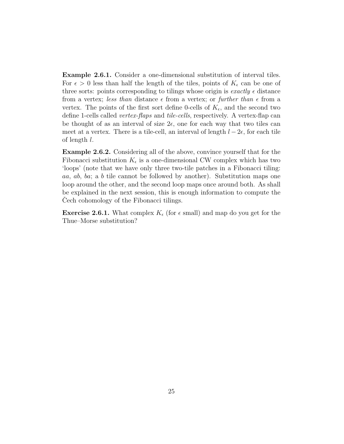Example 2.6.1. Consider a one-dimensional substitution of interval tiles. For  $\epsilon > 0$  less than half the length of the tiles, points of  $K_{\epsilon}$  can be one of three sorts: points corresponding to tilings whose origin is *exactly*  $\epsilon$  distance from a vertex; less than distance  $\epsilon$  from a vertex; or further than  $\epsilon$  from a vertex. The points of the first sort define 0-cells of  $K_{\epsilon}$ , and the second two define 1-cells called vertex-flaps and tile-cells, respectively. A vertex-flap can be thought of as an interval of size  $2\epsilon$ , one for each way that two tiles can meet at a vertex. There is a tile-cell, an interval of length  $l - 2\epsilon$ , for each tile of length l.

Example 2.6.2. Considering all of the above, convince yourself that for the Fibonacci substitution  $K_{\epsilon}$  is a one-dimensional CW complex which has two 'loops' (note that we have only three two-tile patches in a Fibonacci tiling: aa, ab, ba; a b tile cannot be followed by another). Substitution maps one loop around the other, and the second loop maps once around both. As shall be explained in the next session, this is enough information to compute the Cech cohomology of the Fibonacci tilings.

**Exercise 2.6.1.** What complex  $K_{\epsilon}$  (for  $\epsilon$  small) and map do you get for the Thue–Morse substitution?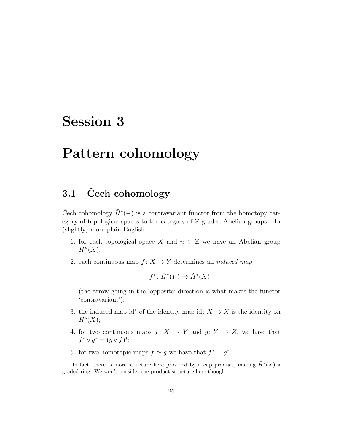# <span id="page-29-0"></span>Session 3

## Pattern cohomology

## <span id="page-29-1"></span>3.1 Čech cohomology

Čech cohomology  $\check{H}^*(-)$  is a contravariant functor from the homotopy category of topological spaces to the category of  $\mathbb{Z}$ -graded Abelian groups<sup>[1](#page-29-2)</sup>. In (slightly) more plain English:

- 1. for each topological space X and  $n \in \mathbb{Z}$  we have an Abelian group  $\check{H}^n(X);$
- 2. each continuous map  $f: X \to Y$  determines an *induced map*

 $f^* \colon \check{H}^*(Y) \to \check{H}^*(X)$ 

(the arrow going in the 'opposite' direction is what makes the functor 'contravariant');

- 3. the induced map id<sup>\*</sup> of the identity map id:  $X \to X$  is the identity on  $\check{H}^*(X);$
- 4. for two continuous maps  $f: X \to Y$  and  $g: Y \to Z$ , we have that  $f^* \circ g^* = (g \circ f)^*;$
- 5. for two homotopic maps  $f \simeq g$  we have that  $f^* = g^*$ .

<span id="page-29-2"></span><sup>&</sup>lt;sup>1</sup>In fact, there is more structure here provided by a cup product, making  $\check{H}^*(X)$  a graded ring. We won't consider the product structure here though.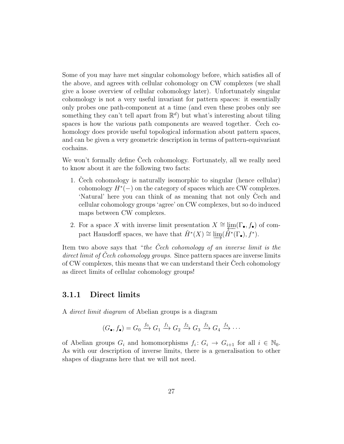Some of you may have met singular cohomology before, which satisfies all of the above, and agrees with cellular cohomology on CW complexes (we shall give a loose overview of cellular cohomology later). Unfortunately singular cohomology is not a very useful invariant for pattern spaces: it essentially only probes one path-component at a time (and even these probes only see something they can't tell apart from  $\mathbb{R}^d$  but what's interesting about tiling spaces is how the various path components are weaved together. Cech cohomology does provide useful topological information about pattern spaces, and can be given a very geometric description in terms of pattern-equivariant cochains.

We won't formally define Cech cohomology. Fortunately, all we really need to know about it are the following two facts:

- 1. Cech cohomology is naturally isomorphic to singular (hence cellular) cohomology  $H^*(-)$  on the category of spaces which are CW complexes. 'Natural' here you can think of as meaning that not only Cech and cellular cohomology groups 'agree' on CW complexes, but so do induced maps between CW complexes.
- 2. For a space X with inverse limit presentation  $X \cong \lim_{\epsilon \to \infty} (\Gamma_{\bullet}, f_{\bullet})$  of compact Hausdorff spaces, we have that  $\check{H}^*(X) \cong \varinjlim(\check{H}^*(\Gamma_{\bullet}), f^*)$ .

Item two above says that "the Cech cohomology of an inverse limit is the direct limit of Cech cohomology groups. Since pattern spaces are inverse limits of CW complexes, this means that we can understand their Cech cohomology as direct limits of cellular cohomology groups!

#### <span id="page-30-0"></span>3.1.1 Direct limits

A direct limit diagram of Abelian groups is a diagram

$$
(G_{\bullet}, f_{\bullet}) = G_0 \xrightarrow{f_0} G_1 \xrightarrow{f_1} G_2 \xrightarrow{f_2} G_3 \xrightarrow{f_3} G_4 \xrightarrow{f_4} \cdots
$$

of Abelian groups  $G_i$  and homomorphisms  $f_i: G_i \to G_{i+1}$  for all  $i \in \mathbb{N}_0$ . As with our description of inverse limits, there is a generalisation to other shapes of diagrams here that we will not need.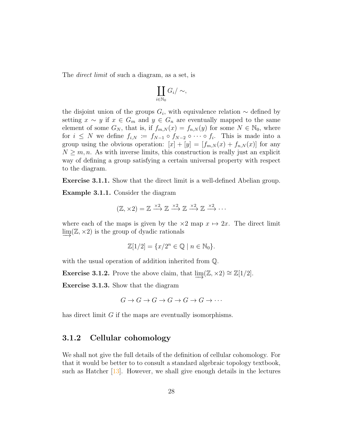The *direct limit* of such a diagram, as a set, is

$$
\coprod_{i\in\mathbb{N}_0} G_i/\sim,
$$

the disjoint union of the groups  $G_i$ , with equivalence relation  $\sim$  defined by setting  $x \sim y$  if  $x \in G_m$  and  $y \in G_n$  are eventually mapped to the same element of some  $G_N$ , that is, if  $f_{m,N}(x) = f_{n,N}(y)$  for some  $N \in \mathbb{N}_0$ , where for  $i \leq N$  we define  $f_{i,N} := f_{N-1} \circ f_{N-2} \circ \cdots \circ f_i$ . This is made into a group using the obvious operation:  $[x] + [y] = [f_{m,N}(x) + f_{n,N}(x)]$  for any  $N \geq m, n$ . As with inverse limits, this construction is really just an explicit way of defining a group satisfying a certain universal property with respect to the diagram.

Exercise 3.1.1. Show that the direct limit is a well-defined Abelian group.

Example 3.1.1. Consider the diagram

$$
(\mathbb{Z}, \times 2) = \mathbb{Z} \xrightarrow{\times 2} \mathbb{Z} \xrightarrow{\times 2} \mathbb{Z} \xrightarrow{\times 2} \mathbb{Z} \xrightarrow{\times 2} \cdots
$$

where each of the maps is given by the  $\times 2$  map  $x \mapsto 2x$ . The direct limit  $\lim_{\alpha \to 2}$  is the group of dyadic rationals

$$
\mathbb{Z}[1/2] = \{x/2^n \in \mathbb{Q} \mid n \in \mathbb{N}_0\}.
$$

with the usual operation of addition inherited from Q.

**Exercise 3.1.2.** Prove the above claim, that  $\lim_{z \to z_0} (\mathbb{Z}, \times 2) \cong \mathbb{Z}[1/2].$ 

Exercise 3.1.3. Show that the diagram

$$
G \to G \to G \to G \to G \to G \to \cdots
$$

has direct limit G if the maps are eventually isomorphisms.

#### <span id="page-31-0"></span>3.1.2 Cellular cohomology

We shall not give the full details of the definition of cellular cohomology. For that it would be better to to consult a standard algebraic topology textbook, such as Hatcher [\[13\]](#page-42-9). However, we shall give enough details in the lectures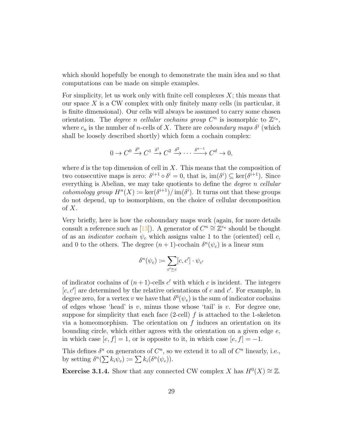which should hopefully be enough to demonstrate the main idea and so that computations can be made on simple examples.

For simplicity, let us work only with finite cell complexes  $X$ ; this means that our space  $X$  is a CW complex with only finitely many cells (in particular, it is finite dimensional). Our cells will always be assumed to carry some chosen orientation. The *degree n cellular cochains group*  $C^n$  is isomorphic to  $\mathbb{Z}^{c_n}$ , where  $c_n$  is the number of *n*-cells of X. There are *coboundary maps*  $\delta^i$  (which shall be loosely described shortly) which form a cochain complex:

$$
0 \to C^0 \xrightarrow{\delta^0} C^1 \xrightarrow{\delta^1} C^2 \xrightarrow{\delta^2} \cdots \xrightarrow{\delta^{n-1}} C^d \to 0,
$$

where d is the top dimension of cell in  $X$ . This means that the composition of two consecutive maps is zero:  $\delta^{i+1} \circ \delta^i = 0$ , that is,  $\text{im}(\delta^i) \subseteq \text{ker}(\delta^{i+1})$ . Since everything is Abelian, we may take quotients to define the *degree n cellular cohomology group*  $H^{n}(X) := \text{ker}(\delta^{i+1})/\text{im}(\delta^{i})$ . It turns out that these groups do not depend, up to isomorphism, on the choice of cellular decomposition of  $X$ .

Very briefly, here is how the coboundary maps work (again, for more details consult a reference such as [\[13\]](#page-42-9)). A generator of  $C^n \cong \mathbb{Z}^{c_n}$  should be thought of as an *indicator cochain*  $\psi_c$  which assigns value 1 to the (oriented) cell c, and 0 to the others. The degree  $(n+1)$ -cochain  $\delta^{n}(\psi_c)$  is a linear sum

$$
\delta^n(\psi_c) := \sum_{c' \succeq c} [c, c'] \cdot \psi_{c'}
$$

of indicator cochains of  $(n+1)$ -cells c' with which c is incident. The integers  $[c, c']$  are determined by the relative orientations of c and c'. For example, in degree zero, for a vertex v we have that  $\delta^0(\psi_v)$  is the sum of indicator cochains of edges whose 'head' is v, minus those whose 'tail' is v. For degree one, suppose for simplicity that each face  $(2$ -cell) f is attached to the 1-skeleton via a homeomorphism. The orientation on  $f$  induces an orientation on its bounding circle, which either agrees with the orientation on a given edge  $e$ , in which case  $[e, f] = 1$ , or is opposite to it, in which case  $[e, f] = -1$ .

This defines  $\delta^n$  on generators of  $C^n$ , so we extend it to all of  $C^n$  linearly, i.e., by setting  $\delta^n(\sum k_i \psi_c) \coloneqq \sum k_i(\delta^n(\psi_c)).$ 

**Exercise 3.1.4.** Show that any connected CW complex X has  $H^0(X) \cong \mathbb{Z}$ .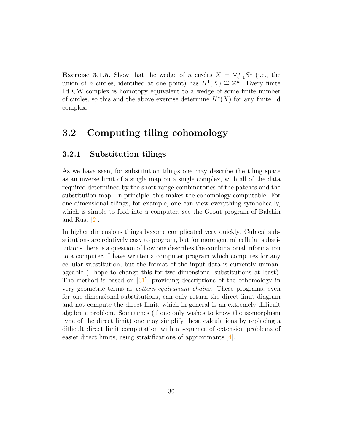**Exercise 3.1.5.** Show that the wedge of n circles  $X = \vee_{i=1}^{n} S^1$  (i.e., the union of *n* circles, identified at one point) has  $H^1(X) \cong \mathbb{Z}^n$ . Every finite 1d CW complex is homotopy equivalent to a wedge of some finite number of circles, so this and the above exercise determine  $H^*(X)$  for any finite 1d complex.

## <span id="page-33-0"></span>3.2 Computing tiling cohomology

### <span id="page-33-1"></span>3.2.1 Substitution tilings

As we have seen, for substitution tilings one may describe the tiling space as an inverse limit of a single map on a single complex, with all of the data required determined by the short-range combinatorics of the patches and the substitution map. In principle, this makes the cohomology computable. For one-dimensional tilings, for example, one can view everything symbolically, which is simple to feed into a computer, see the Grout program of Balchin and Rust [\[2\]](#page-41-8).

In higher dimensions things become complicated very quickly. Cubical substitutions are relatively easy to program, but for more general cellular substitutions there is a question of how one describes the combinatorial information to a computer. I have written a computer program which computes for any cellular substitution, but the format of the input data is currently unmanageable (I hope to change this for two-dimensional substitutions at least). The method is based on [\[31\]](#page-43-5), providing descriptions of the cohomology in very geometric terms as pattern-equivariant chains. These programs, even for one-dimensional substitutions, can only return the direct limit diagram and not compute the direct limit, which in general is an extremely difficult algebraic problem. Sometimes (if one only wishes to know the isomorphism type of the direct limit) one may simplify these calculations by replacing a difficult direct limit computation with a sequence of extension problems of easier direct limits, using stratifications of approximants [\[4\]](#page-41-7).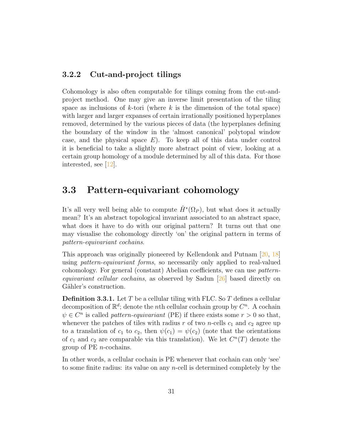### <span id="page-34-0"></span>3.2.2 Cut-and-project tilings

Cohomology is also often computable for tilings coming from the cut-andproject method. One may give an inverse limit presentation of the tiling space as inclusions of  $k$ -tori (where  $k$  is the dimension of the total space) with larger and larger expanses of certain irrationally positioned hyperplanes removed, determined by the various pieces of data (the hyperplanes defining the boundary of the window in the 'almost canonical' polytopal window case, and the physical space  $E$ ). To keep all of this data under control it is beneficial to take a slightly more abstract point of view, looking at a certain group homology of a module determined by all of this data. For those interested, see [\[12\]](#page-42-10).

### <span id="page-34-1"></span>3.3 Pattern-equivariant cohomology

It's all very well being able to compute  $\check{H}^*(\Omega_P)$ , but what does it actually mean? It's an abstract topological invariant associated to an abstract space, what does it have to do with our original pattern? It turns out that one may visualise the cohomology directly 'on' the original pattern in terms of pattern-equivariant cochains.

This approach was originally pioneered by Kellendonk and Putnam [\[20,](#page-42-11) [18\]](#page-42-4) using pattern-equivariant forms, so necessarily only applied to real-valued cohomology. For general (constant) Abelian coefficients, we can use patternequivariant cellular cochains, as observed by Sadun [\[26\]](#page-43-4) based directly on Gähler's construction.

**Definition 3.3.1.** Let T be a cellular tiling with FLC. So T defines a cellular decomposition of  $\mathbb{R}^d$ ; denote the *n*th cellular cochain group by  $C^n$ . A cochain  $\psi \in C^n$  is called *pattern-equivariant* (PE) if there exists some  $r > 0$  so that, whenever the patches of tiles with radius r of two n-cells  $c_1$  and  $c_2$  agree up to a translation of  $c_1$  to  $c_2$ , then  $\psi(c_1) = \psi(c_2)$  (note that the orientations of  $c_1$  and  $c_2$  are comparable via this translation). We let  $C^n(T)$  denote the group of  $PE$  *n*-cochains.

In other words, a cellular cochain is PE whenever that cochain can only 'see' to some finite radius: its value on any  $n$ -cell is determined completely by the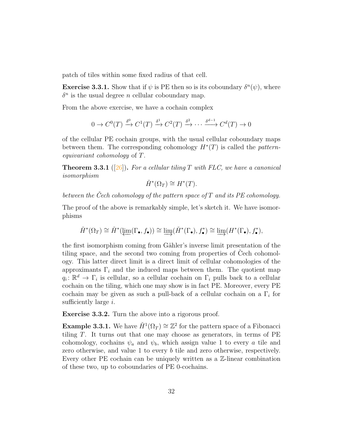patch of tiles within some fixed radius of that cell.

**Exercise 3.3.1.** Show that if  $\psi$  is PE then so is its coboundary  $\delta^n(\psi)$ , where  $\delta^n$  is the usual degree *n* cellular coboundary map.

From the above exercise, we have a cochain complex

$$
0 \to C^0(T) \xrightarrow{\delta^0} C^1(T) \xrightarrow{\delta^1} C^2(T) \xrightarrow{\delta^2} \cdots \xrightarrow{\delta^{d-1}} C^d(T) \to 0
$$

of the cellular PE cochain groups, with the usual cellular coboundary maps between them. The corresponding cohomology  $H^*(T)$  is called the *pattern*equivariant cohomology of T.

**Theorem 3.3.1** ([\[26\]](#page-43-4)). For a cellular tiling T with FLC, we have a canonical isomorphism

$$
\check{H}^*(\Omega_T) \cong H^*(T).
$$

between the Cech cohomology of the pattern space of  $T$  and its PE cohomology.

The proof of the above is remarkably simple, let's sketch it. We have isomorphisms

$$
\check{H}^*(\Omega_T) \cong \check{H}^*(\varprojlim(\Gamma_\bullet,f_\bullet)) \cong \varinjlim(\check{H}^*(\Gamma_\bullet),f_\bullet^*) \cong \varinjlim(H^*(\Gamma_\bullet),f_\bullet^*),
$$

the first isomorphism coming from Gähler's inverse limit presentation of the tiling space, and the second two coming from properties of Cech cohomology. This latter direct limit is a direct limit of cellular cohomologies of the approximants  $\Gamma_i$  and the induced maps between them. The quotient map  $q_i: \mathbb{R}^d \to \Gamma_i$  is cellular, so a cellular cochain on  $\Gamma_i$  pulls back to a cellular cochain on the tiling, which one may show is in fact PE. Moreover, every PE cochain may be given as such a pull-back of a cellular cochain on a  $\Gamma_i$  for sufficiently large  $i$ .

Exercise 3.3.2. Turn the above into a rigorous proof.

**Example 3.3.1.** We have  $\check{H}^1(\Omega_T) \cong \mathbb{Z}^2$  for the pattern space of a Fibonacci tiling  $T$ . It turns out that one may choose as generators, in terms of  $PE$ cohomology, cochains  $\psi_a$  and  $\psi_b$ , which assign value 1 to every a tile and zero otherwise, and value 1 to every b tile and zero otherwise, respectively. Every other PE cochain can be uniquely written as a Z-linear combination of these two, up to coboundaries of PE 0-cochains.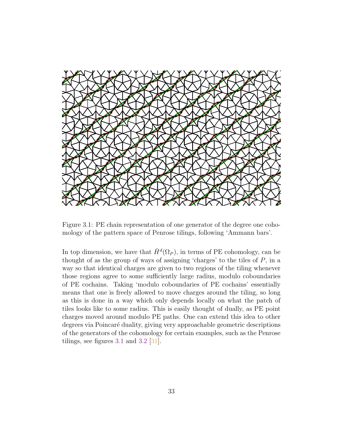

<span id="page-36-0"></span>Figure 3.1: PE chain representation of one generator of the degree one cohomology of the pattern space of Penrose tilings, following 'Ammann bars'.

In top dimension, we have that  $\check{H}^d(\Omega_P)$ , in terms of PE cohomology, can be thought of as the group of ways of assigning 'charges' to the tiles of  $P$ , in a way so that identical charges are given to two regions of the tiling whenever those regions agree to some sufficiently large radius, modulo coboundaries of PE cochains. Taking 'modulo coboundaries of PE cochains' essentially means that one is freely allowed to move charges around the tiling, so long as this is done in a way which only depends locally on what the patch of tiles looks like to some radius. This is easily thought of dually, as PE point charges moved around modulo PE paths. One can extend this idea to other degrees via Poincaré duality, giving very approachable geometric descriptions of the generators of the cohomology for certain examples, such as the Penrose tilings, see figures [3.1](#page-36-0) and [3.2](#page-37-0) [\[31\]](#page-43-5).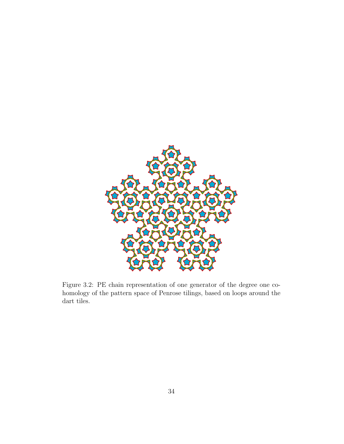

<span id="page-37-0"></span>Figure 3.2: PE chain representation of one generator of the degree one cohomology of the pattern space of Penrose tilings, based on loops around the dart tiles.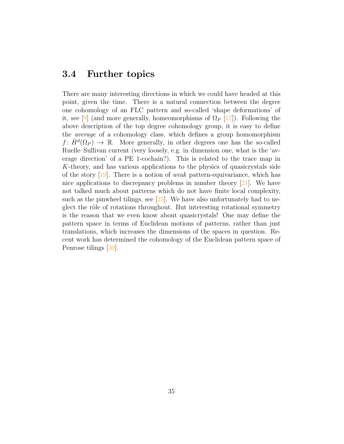## <span id="page-38-0"></span>3.4 Further topics

There are many interesting directions in which we could have headed at this point, given the time. There is a natural connection between the degree one cohomology of an FLC pattern and so-called 'shape deformations' of it, see [\[9\]](#page-41-3) (and more generally, homeomorphisms of  $\Omega_P$  [\[17\]](#page-42-3)). Following the above description of the top degree cohomology group, it is easy to define the average of a cohomology class, which defines a group homomorphism  $f: \check{H}^d(\Omega_P) \to \mathbb{R}$ . More generally, in other degrees one has the so-called Ruelle–Sullivan current (very loosely, e.g. in dimension one, what is the 'average direction' of a PE 1-cochain?). This is related to the trace map in K-theory, and has various applications to the physics of quasicrystals side of the story  $[19]$ . There is a notion of *weak* pattern-equivariance, which has nice applications to discrepancy problems in number theory  $[21]$ . We have not talked much about patterns which do not have finite local complexity, such as the pinwheel tilings, see  $\sqrt{25}$ . We have also unfortunately had to neglect the rôle of rotations throughout. But interesting rotational symmetry is the reason that we even know about quasicrystals! One may define the pattern space in terms of Euclidean motions of patterns, rather than just translations, which increases the dimensions of the spaces in question. Recent work has determined the cohomology of the Euclidean pattern space of Penrose tilings [\[30\]](#page-43-8).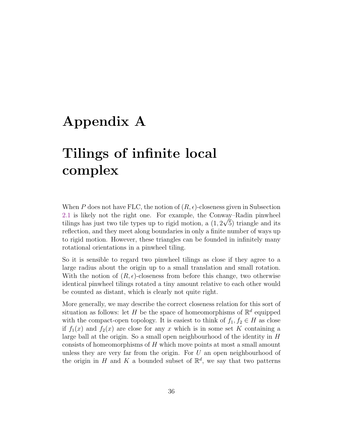# <span id="page-39-0"></span>Appendix A

# Tilings of infinite local complex

When P does not have FLC, the notion of  $(R, \epsilon)$ -closeness given in Subsection [2.1](#page-18-1) is likely not the right one. For example, the Conway–Radin pinwheel tilings has just two tile types up to rigid motion, a  $(1, 2\sqrt{5})$  triangle and its reflection, and they meet along boundaries in only a finite number of ways up to rigid motion. However, these triangles can be founded in infinitely many rotational orientations in a pinwheel tiling.

So it is sensible to regard two pinwheel tilings as close if they agree to a large radius about the origin up to a small translation and small rotation. With the notion of  $(R, \epsilon)$ -closeness from before this change, two otherwise identical pinwheel tilings rotated a tiny amount relative to each other would be counted as distant, which is clearly not quite right.

More generally, we may describe the correct closeness relation for this sort of situation as follows: let H be the space of homeomorphisms of  $\mathbb{R}^d$  equipped with the compact-open topology. It is easiest to think of  $f_1, f_2 \in H$  as close if  $f_1(x)$  and  $f_2(x)$  are close for any x which is in some set K containing a large ball at the origin. So a small open neighbourhood of the identity in  $H$ consists of homeomorphisms of  $H$  which move points at most a small amount unless they are very far from the origin. For  $U$  an open neighbourhood of the origin in H and K a bounded subset of  $\mathbb{R}^d$ , we say that two patterns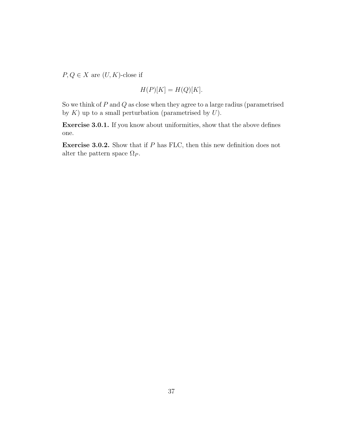$P, Q \in X$  are  $(U, K)$ -close if

$$
H(P)[K] = H(Q)[K].
$$

So we think of  $P$  and  $Q$  as close when they agree to a large radius (parametrised by  $K$ ) up to a small perturbation (parametrised by  $U$ ).

Exercise 3.0.1. If you know about uniformities, show that the above defines one.

Exercise 3.0.2. Show that if P has FLC, then this new definition does not alter the pattern space  $\Omega_P$ .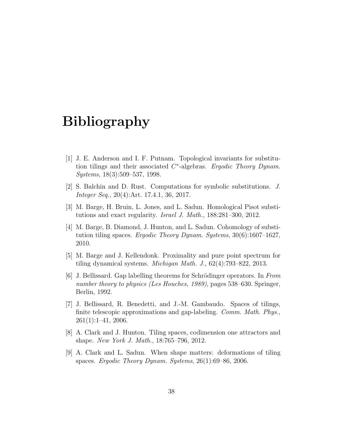## Bibliography

- <span id="page-41-0"></span>[1] J. E. Anderson and I. F. Putnam. Topological invariants for substitution tilings and their associated  $C^*$ -algebras. Ergodic Theory Dynam. Systems, 18(3):509–537, 1998.
- <span id="page-41-8"></span>[2] S. Balchin and D. Rust. Computations for symbolic substitutions. J. Integer Seq., 20(4):Art. 17.4.1, 36, 2017.
- <span id="page-41-2"></span>[3] M. Barge, H. Bruin, L. Jones, and L. Sadun. Homological Pisot substitutions and exact regularity. Israel J. Math., 188:281–300, 2012.
- <span id="page-41-7"></span>[4] M. Barge, B. Diamond, J. Hunton, and L. Sadun. Cohomology of substitution tiling spaces. Ergodic Theory Dynam. Systems,  $30(6):1607-1627$ , 2010.
- <span id="page-41-1"></span>[5] M. Barge and J. Kellendonk. Proximality and pure point spectrum for tiling dynamical systems. Michigan Math. J., 62(4):793–822, 2013.
- <span id="page-41-4"></span>[6] J. Bellissard. Gap labelling theorems for Schrödinger operators. In From number theory to physics (Les Houches, 1989), pages 538–630. Springer, Berlin, 1992.
- <span id="page-41-5"></span>[7] J. Bellissard, R. Benedetti, and J.-M. Gambaudo. Spaces of tilings, finite telescopic approximations and gap-labeling. *Comm. Math. Phys.*,  $261(1):1-41, 2006.$
- <span id="page-41-6"></span>[8] A. Clark and J. Hunton. Tiling spaces, codimension one attractors and shape. New York J. Math., 18:765–796, 2012.
- <span id="page-41-3"></span>[9] A. Clark and L. Sadun. When shape matters: deformations of tiling spaces. Ergodic Theory Dynam. Systems, 26(1):69–86, 2006.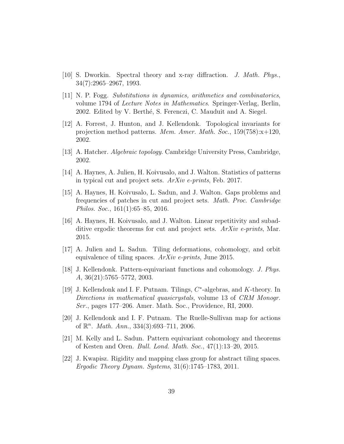- <span id="page-42-1"></span>[10] S. Dworkin. Spectral theory and x-ray diffraction. J. Math. Phys., 34(7):2965–2967, 1993.
- <span id="page-42-0"></span>[11] N. P. Fogg. Substitutions in dynamics, arithmetics and combinatorics, volume 1794 of Lecture Notes in Mathematics. Springer-Verlag, Berlin, 2002. Edited by V. Berthé, S. Ferenczi, C. Mauduit and A. Siegel.
- <span id="page-42-10"></span>[12] A. Forrest, J. Hunton, and J. Kellendonk. Topological invariants for projection method patterns. Mem. Amer. Math. Soc., 159(758):x+120, 2002.
- <span id="page-42-9"></span>[13] A. Hatcher. *Algebraic topology*. Cambridge University Press, Cambridge, 2002.
- <span id="page-42-8"></span>[14] A. Haynes, A. Julien, H. Koivusalo, and J. Walton. Statistics of patterns in typical cut and project sets. ArXiv e-prints, Feb. 2017.
- <span id="page-42-7"></span>[15] A. Haynes, H. Koivusalo, L. Sadun, and J. Walton. Gaps problems and frequencies of patches in cut and project sets. Math. Proc. Cambridge Philos. Soc., 161(1):65–85, 2016.
- <span id="page-42-6"></span>[16] A. Haynes, H. Koivusalo, and J. Walton. Linear repetitivity and subadditive ergodic theorems for cut and project sets.  $ArXiv$  e-prints, Mar. 2015.
- <span id="page-42-3"></span>[17] A. Julien and L. Sadun. Tiling deformations, cohomology, and orbit equivalence of tiling spaces. ArXiv e-prints, June 2015.
- <span id="page-42-4"></span>[18] J. Kellendonk. Pattern-equivariant functions and cohomology. J. Phys. A, 36(21):5765–5772, 2003.
- <span id="page-42-12"></span>[19] J. Kellendonk and I. F. Putnam. Tilings,  $C^*$ -algebras, and K-theory. In Directions in mathematical quasicrystals, volume 13 of CRM Monogr. Ser., pages 177–206. Amer. Math. Soc., Providence, RI, 2000.
- <span id="page-42-11"></span>[20] J. Kellendonk and I. F. Putnam. The Ruelle-Sullivan map for actions of  $\mathbb{R}^n$ . *Math. Ann.*, 334(3):693-711, 2006.
- <span id="page-42-5"></span>[21] M. Kelly and L. Sadun. Pattern equivariant cohomology and theorems of Kesten and Oren. Bull. Lond. Math. Soc., 47(1):13–20, 2015.
- <span id="page-42-2"></span>[22] J. Kwapisz. Rigidity and mapping class group for abstract tiling spaces. Ergodic Theory Dynam. Systems, 31(6):1745–1783, 2011.